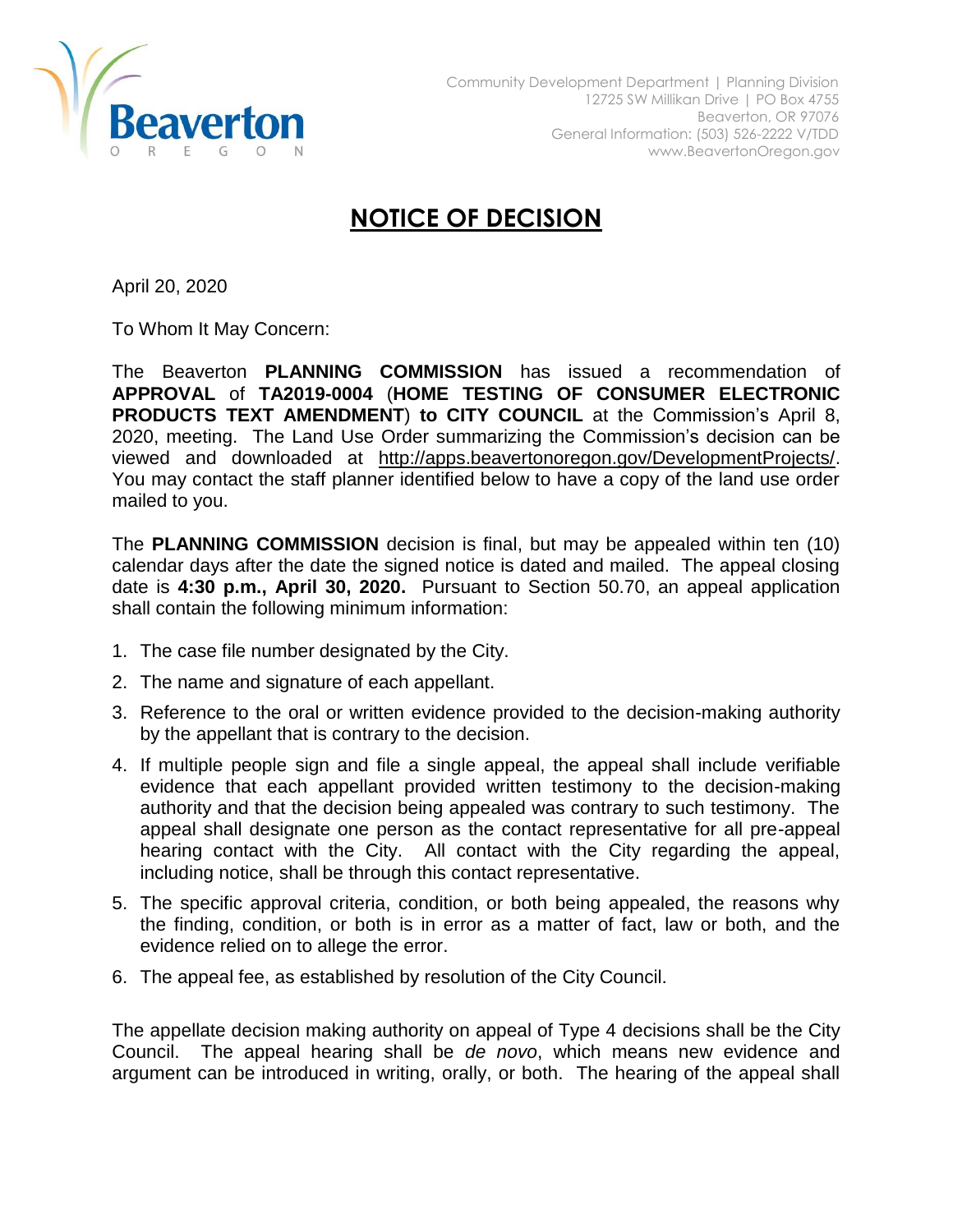

## **NOTICE OF DECISION**

April 20, 2020

To Whom It May Concern:

The Beaverton **PLANNING COMMISSION** has issued a recommendation of **APPROVAL** of **TA2019-0004** (**HOME TESTING OF CONSUMER ELECTRONIC PRODUCTS TEXT AMENDMENT**) **to CITY COUNCIL** at the Commission's April 8, 2020, meeting. The Land Use Order summarizing the Commission's decision can be viewed and downloaded at [http://apps.beavertonoregon.gov/DevelopmentProjects/.](http://apps.beavertonoregon.gov/DevelopmentProjects/) You may contact the staff planner identified below to have a copy of the land use order mailed to you.

The **PLANNING COMMISSION** decision is final, but may be appealed within ten (10) calendar days after the date the signed notice is dated and mailed. The appeal closing date is **4:30 p.m., April 30, 2020.** Pursuant to Section 50.70, an appeal application shall contain the following minimum information:

- 1. The case file number designated by the City.
- 2. The name and signature of each appellant.
- 3. Reference to the oral or written evidence provided to the decision-making authority by the appellant that is contrary to the decision.
- 4. If multiple people sign and file a single appeal, the appeal shall include verifiable evidence that each appellant provided written testimony to the decision-making authority and that the decision being appealed was contrary to such testimony. The appeal shall designate one person as the contact representative for all pre-appeal hearing contact with the City. All contact with the City regarding the appeal, including notice, shall be through this contact representative.
- 5. The specific approval criteria, condition, or both being appealed, the reasons why the finding, condition, or both is in error as a matter of fact, law or both, and the evidence relied on to allege the error.
- 6. The appeal fee, as established by resolution of the City Council.

The appellate decision making authority on appeal of Type 4 decisions shall be the City Council. The appeal hearing shall be *de novo*, which means new evidence and argument can be introduced in writing, orally, or both. The hearing of the appeal shall